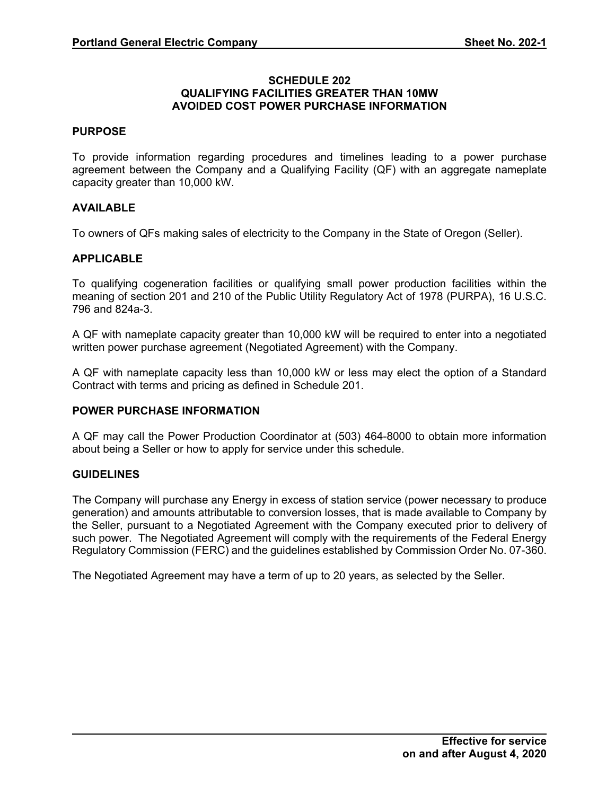### **SCHEDULE 202 QUALIFYING FACILITIES GREATER THAN 10MW AVOIDED COST POWER PURCHASE INFORMATION**

### **PURPOSE**

To provide information regarding procedures and timelines leading to a power purchase agreement between the Company and a Qualifying Facility (QF) with an aggregate nameplate capacity greater than 10,000 kW.

### **AVAILABLE**

To owners of QFs making sales of electricity to the Company in the State of Oregon (Seller).

### **APPLICABLE**

To qualifying cogeneration facilities or qualifying small power production facilities within the meaning of section 201 and 210 of the Public Utility Regulatory Act of 1978 (PURPA), 16 U.S.C. 796 and 824a-3.

A QF with nameplate capacity greater than 10,000 kW will be required to enter into a negotiated written power purchase agreement (Negotiated Agreement) with the Company.

A QF with nameplate capacity less than 10,000 kW or less may elect the option of a Standard Contract with terms and pricing as defined in Schedule 201.

### **POWER PURCHASE INFORMATION**

A QF may call the Power Production Coordinator at (503) 464-8000 to obtain more information about being a Seller or how to apply for service under this schedule.

### **GUIDELINES**

The Company will purchase any Energy in excess of station service (power necessary to produce generation) and amounts attributable to conversion losses, that is made available to Company by the Seller, pursuant to a Negotiated Agreement with the Company executed prior to delivery of such power. The Negotiated Agreement will comply with the requirements of the Federal Energy Regulatory Commission (FERC) and the guidelines established by Commission Order No. 07-360.

The Negotiated Agreement may have a term of up to 20 years, as selected by the Seller.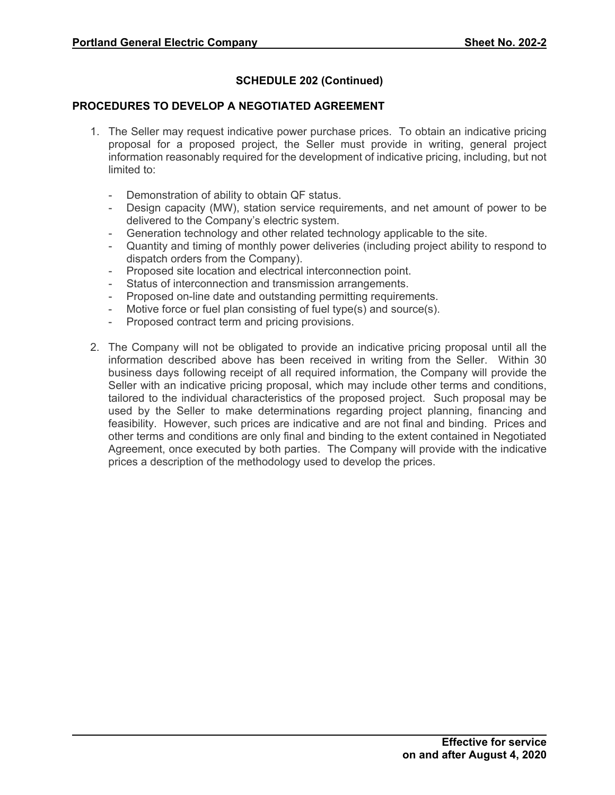# **SCHEDULE 202 (Continued)**

## **PROCEDURES TO DEVELOP A NEGOTIATED AGREEMENT**

- 1. The Seller may request indicative power purchase prices. To obtain an indicative pricing proposal for a proposed project, the Seller must provide in writing, general project information reasonably required for the development of indicative pricing, including, but not limited to:
	- Demonstration of ability to obtain QF status.
	- Design capacity (MW), station service requirements, and net amount of power to be delivered to the Company's electric system.
	- Generation technology and other related technology applicable to the site.
	- Quantity and timing of monthly power deliveries (including project ability to respond to dispatch orders from the Company).
	- Proposed site location and electrical interconnection point.
	- Status of interconnection and transmission arrangements.
	- Proposed on-line date and outstanding permitting requirements.
	- Motive force or fuel plan consisting of fuel type(s) and source(s).
	- Proposed contract term and pricing provisions.
- 2. The Company will not be obligated to provide an indicative pricing proposal until all the information described above has been received in writing from the Seller. Within 30 business days following receipt of all required information, the Company will provide the Seller with an indicative pricing proposal, which may include other terms and conditions, tailored to the individual characteristics of the proposed project. Such proposal may be used by the Seller to make determinations regarding project planning, financing and feasibility. However, such prices are indicative and are not final and binding. Prices and other terms and conditions are only final and binding to the extent contained in Negotiated Agreement, once executed by both parties. The Company will provide with the indicative prices a description of the methodology used to develop the prices.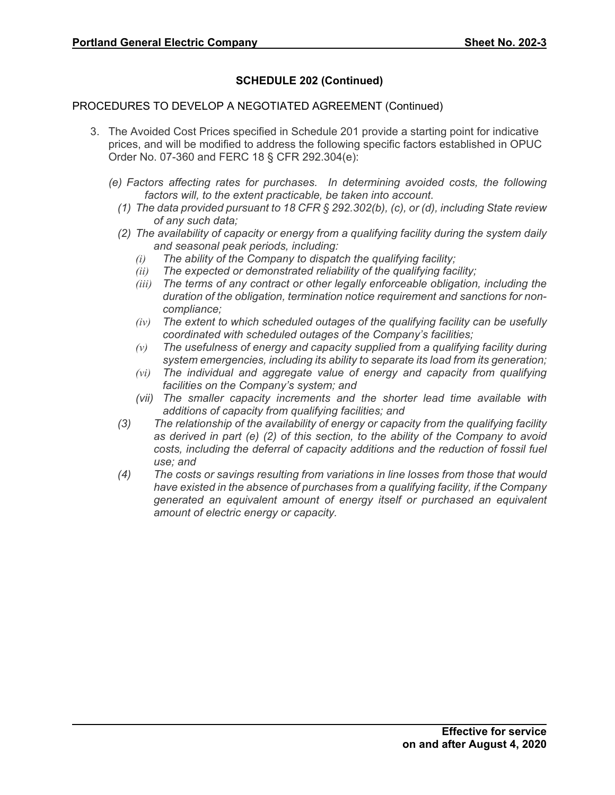# **SCHEDULE 202 (Continued)**

## PROCEDURES TO DEVELOP A NEGOTIATED AGREEMENT (Continued)

- 3. The Avoided Cost Prices specified in Schedule 201 provide a starting point for indicative prices, and will be modified to address the following specific factors established in OPUC Order No. 07-360 and FERC 18 § CFR 292.304(e):
	- *(e) Factors affecting rates for purchases. In determining avoided costs, the following factors will, to the extent practicable, be taken into account.*
		- *(1) The data provided pursuant to 18 CFR § 292.302(b), (c), or (d), including State review of any such data;*
		- *(2) The availability of capacity or energy from a qualifying facility during the system daily and seasonal peak periods, including:*
			- *(i) The ability of the Company to dispatch the qualifying facility;*
			- *(ii) The expected or demonstrated reliability of the qualifying facility;*
			- *(iii) The terms of any contract or other legally enforceable obligation, including the duration of the obligation, termination notice requirement and sanctions for noncompliance;*
			- *(iv) The extent to which scheduled outages of the qualifying facility can be usefully coordinated with scheduled outages of the Company's facilities;*
			- *(v) The usefulness of energy and capacity supplied from a qualifying facility during system emergencies, including its ability to separate its load from its generation;*
			- *(vi) The individual and aggregate value of energy and capacity from qualifying facilities on the Company's system; and*
			- *(vii) The smaller capacity increments and the shorter lead time available with additions of capacity from qualifying facilities; and*
		- *(3) The relationship of the availability of energy or capacity from the qualifying facility as derived in part (e) (2) of this section, to the ability of the Company to avoid costs, including the deferral of capacity additions and the reduction of fossil fuel use; and*
		- *(4) The costs or savings resulting from variations in line losses from those that would have existed in the absence of purchases from a qualifying facility, if the Company generated an equivalent amount of energy itself or purchased an equivalent amount of electric energy or capacity.*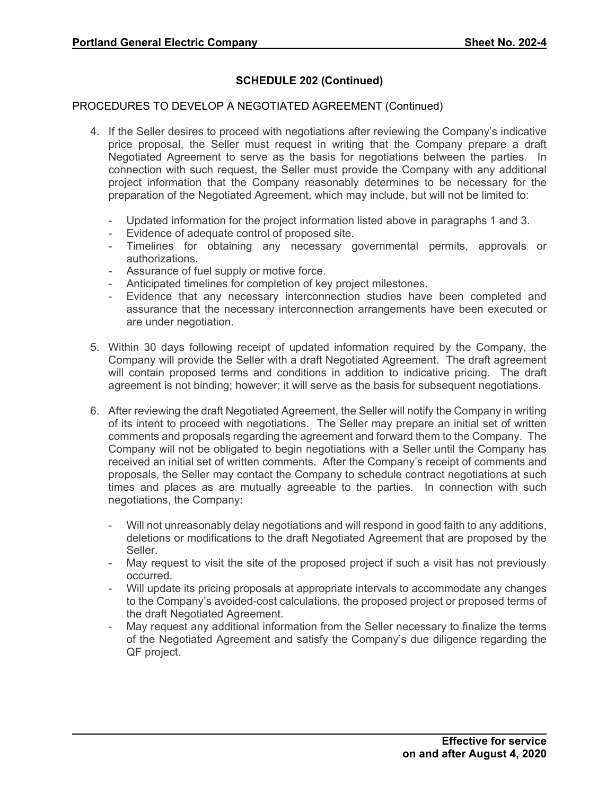## **SCHEDULE 202 (Continued)**

## PROCEDURES TO DEVELOP A NEGOTIATED AGREEMENT (Continued)

- 4. If the Seller desires to proceed with negotiations after reviewing the Company's indicative price proposal, the Seller must request in writing that the Company prepare a draft Negotiated Agreement to serve as the basis for negotiations between the parties. In connection with such request, the Seller must provide the Company with any additional project information that the Company reasonably determines to be necessary for the preparation of the Negotiated Agreement, which may include, but will not be limited to:
	- Updated information for the project information listed above in paragraphs 1 and 3.
	- Evidence of adequate control of proposed site.
	- Timelines for obtaining any necessary governmental permits, approvals or authorizations.
	- Assurance of fuel supply or motive force.
	- Anticipated timelines for completion of key project milestones.
	- Evidence that any necessary interconnection studies have been completed and assurance that the necessary interconnection arrangements have been executed or are under negotiation.
- 5. Within 30 days following receipt of updated information required by the Company, the Company will provide the Seller with a draft Negotiated Agreement. The draft agreement will contain proposed terms and conditions in addition to indicative pricing. The draft agreement is not binding; however; it will serve as the basis for subsequent negotiations.
- 6. After reviewing the draft Negotiated Agreement, the Seller will notify the Company in writing of its intent to proceed with negotiations. The Seller may prepare an initial set of written comments and proposals regarding the agreement and forward them to the Company. The Company will not be obligated to begin negotiations with a Seller until the Company has received an initial set of written comments. After the Company's receipt of comments and proposals, the Seller may contact the Company to schedule contract negotiations at such times and places as are mutually agreeable to the parties. In connection with such negotiations, the Company:
	- Will not unreasonably delay negotiations and will respond in good faith to any additions, deletions or modifications to the draft Negotiated Agreement that are proposed by the Seller.
	- May request to visit the site of the proposed project if such a visit has not previously occurred.
	- Will update its pricing proposals at appropriate intervals to accommodate any changes to the Company's avoided-cost calculations, the proposed project or proposed terms of the draft Negotiated Agreement.
	- May request any additional information from the Seller necessary to finalize the terms of the Negotiated Agreement and satisfy the Company's due diligence regarding the QF project.